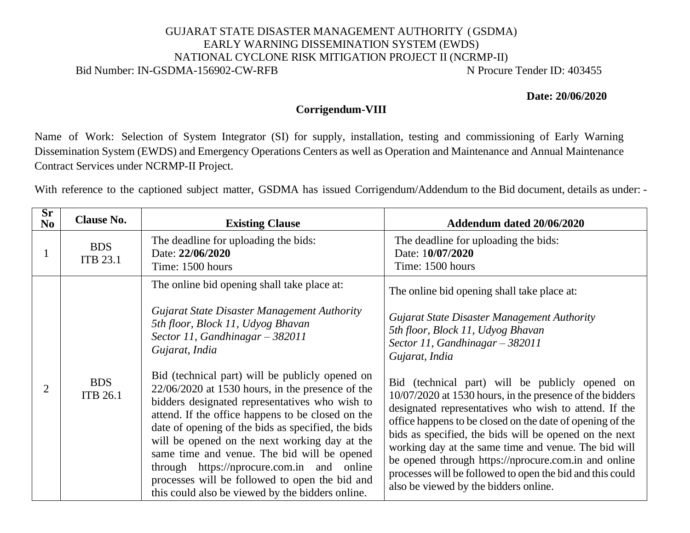## GUJARAT STATE DISASTER MANAGEMENT AUTHORITY (GSDMA) EARLY WARNING DISSEMINATION SYSTEM (EWDS) NATIONAL CYCLONE RISK MITIGATION PROJECT II (NCRMP-II) Bid Number: IN-GSDMA-156902-CW-RFB N Procure Tender ID: 403455

**Date: 20/06/2020**

## **Corrigendum-VIII**

Name of Work: Selection of System Integrator (SI) for supply, installation, testing and commissioning of Early Warning Dissemination System (EWDS) and Emergency Operations Centers as well as Operation and Maintenance and Annual Maintenance Contract Services under NCRMP-II Project.

With reference to the captioned subject matter, GSDMA has issued Corrigendum/Addendum to the Bid document, details as under: -

| $S_{r}$<br>N <sub>0</sub> | <b>Clause No.</b>             | <b>Existing Clause</b>                                                                                                                                                                                                                                                                                                                                                                                                                                                                                                                                                                                                                                       | Addendum dated 20/06/2020                                                                                                                                                                                                                                                                                                                                                                                                                                                                                                                                                                                                                                          |
|---------------------------|-------------------------------|--------------------------------------------------------------------------------------------------------------------------------------------------------------------------------------------------------------------------------------------------------------------------------------------------------------------------------------------------------------------------------------------------------------------------------------------------------------------------------------------------------------------------------------------------------------------------------------------------------------------------------------------------------------|--------------------------------------------------------------------------------------------------------------------------------------------------------------------------------------------------------------------------------------------------------------------------------------------------------------------------------------------------------------------------------------------------------------------------------------------------------------------------------------------------------------------------------------------------------------------------------------------------------------------------------------------------------------------|
|                           | <b>BDS</b><br><b>ITB 23.1</b> | The deadline for uploading the bids:<br>Date: 22/06/2020<br>Time: 1500 hours                                                                                                                                                                                                                                                                                                                                                                                                                                                                                                                                                                                 | The deadline for uploading the bids:<br>Date: 10/07/2020<br>Time: 1500 hours                                                                                                                                                                                                                                                                                                                                                                                                                                                                                                                                                                                       |
| 2                         | <b>BDS</b><br><b>ITB 26.1</b> | The online bid opening shall take place at:<br>Gujarat State Disaster Management Authority<br>5th floor, Block 11, Udyog Bhavan<br>Sector 11, Gandhinagar $-$ 382011<br>Gujarat, India<br>Bid (technical part) will be publicly opened on<br>$22/06/2020$ at 1530 hours, in the presence of the<br>bidders designated representatives who wish to<br>attend. If the office happens to be closed on the<br>date of opening of the bids as specified, the bids<br>will be opened on the next working day at the<br>same time and venue. The bid will be opened<br>through https://nprocure.com.in and online<br>processes will be followed to open the bid and | The online bid opening shall take place at:<br>Gujarat State Disaster Management Authority<br>5th floor, Block 11, Udyog Bhavan<br>Sector 11, Gandhinagar $-$ 382011<br>Gujarat, India<br>Bid (technical part) will be publicly opened on<br>10/07/2020 at 1530 hours, in the presence of the bidders<br>designated representatives who wish to attend. If the<br>office happens to be closed on the date of opening of the<br>bids as specified, the bids will be opened on the next<br>working day at the same time and venue. The bid will<br>be opened through https://nprocure.com.in and online<br>processes will be followed to open the bid and this could |
|                           |                               | this could also be viewed by the bidders online.                                                                                                                                                                                                                                                                                                                                                                                                                                                                                                                                                                                                             | also be viewed by the bidders online.                                                                                                                                                                                                                                                                                                                                                                                                                                                                                                                                                                                                                              |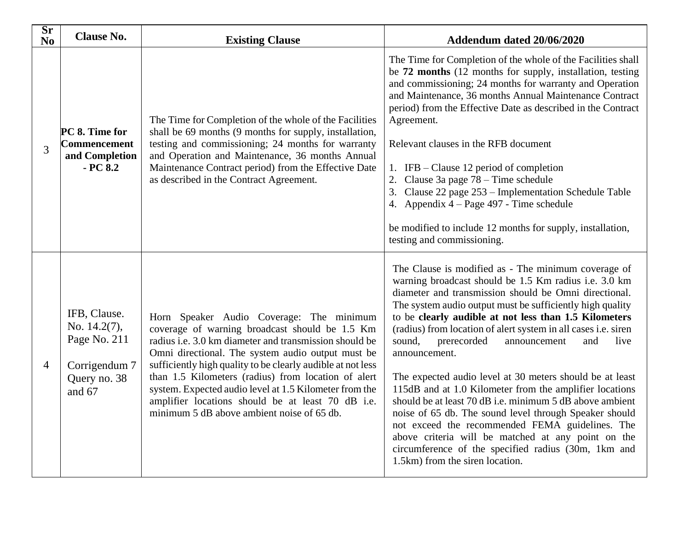| Sr<br>No | <b>Clause No.</b>                                                                       | <b>Existing Clause</b>                                                                                                                                                                                                                                                                                                                                                                                                                                                                              | Addendum dated 20/06/2020                                                                                                                                                                                                                                                                                                                                                                                                                                                                                                                                                                                                                                                                                                                                                                                                                                                              |
|----------|-----------------------------------------------------------------------------------------|-----------------------------------------------------------------------------------------------------------------------------------------------------------------------------------------------------------------------------------------------------------------------------------------------------------------------------------------------------------------------------------------------------------------------------------------------------------------------------------------------------|----------------------------------------------------------------------------------------------------------------------------------------------------------------------------------------------------------------------------------------------------------------------------------------------------------------------------------------------------------------------------------------------------------------------------------------------------------------------------------------------------------------------------------------------------------------------------------------------------------------------------------------------------------------------------------------------------------------------------------------------------------------------------------------------------------------------------------------------------------------------------------------|
| 3        | PC 8. Time for<br>Commencement<br>and Completion<br>$-PC8.2$                            | The Time for Completion of the whole of the Facilities<br>shall be 69 months (9 months for supply, installation,<br>testing and commissioning; 24 months for warranty<br>and Operation and Maintenance, 36 months Annual<br>Maintenance Contract period) from the Effective Date<br>as described in the Contract Agreement.                                                                                                                                                                         | The Time for Completion of the whole of the Facilities shall<br>be 72 months (12 months for supply, installation, testing<br>and commissioning; 24 months for warranty and Operation<br>and Maintenance, 36 months Annual Maintenance Contract<br>period) from the Effective Date as described in the Contract<br>Agreement.<br>Relevant clauses in the RFB document<br>1. IFB – Clause 12 period of completion<br>2. Clause 3a page $78 -$ Time schedule<br>3. Clause 22 page 253 – Implementation Schedule Table<br>4. Appendix $4 - Page 497 - Time schedule$<br>be modified to include 12 months for supply, installation,<br>testing and commissioning.                                                                                                                                                                                                                           |
| 4        | IFB, Clause.<br>No. 14.2(7),<br>Page No. 211<br>Corrigendum 7<br>Query no. 38<br>and 67 | Horn Speaker Audio Coverage: The minimum<br>coverage of warning broadcast should be 1.5 Km<br>radius <i>i.e.</i> 3.0 km diameter and transmission should be<br>Omni directional. The system audio output must be<br>sufficiently high quality to be clearly audible at not less<br>than 1.5 Kilometers (radius) from location of alert<br>system. Expected audio level at 1.5 Kilometer from the<br>amplifier locations should be at least 70 dB i.e.<br>minimum 5 dB above ambient noise of 65 db. | The Clause is modified as - The minimum coverage of<br>warning broadcast should be 1.5 Km radius i.e. 3.0 km<br>diameter and transmission should be Omni directional.<br>The system audio output must be sufficiently high quality<br>to be clearly audible at not less than 1.5 Kilometers<br>(radius) from location of alert system in all cases i.e. siren<br>sound,<br>prerecorded<br>and<br>live<br>announcement<br>announcement.<br>The expected audio level at 30 meters should be at least<br>115dB and at 1.0 Kilometer from the amplifier locations<br>should be at least 70 dB i.e. minimum 5 dB above ambient<br>noise of 65 db. The sound level through Speaker should<br>not exceed the recommended FEMA guidelines. The<br>above criteria will be matched at any point on the<br>circumference of the specified radius (30m, 1km and<br>1.5km) from the siren location. |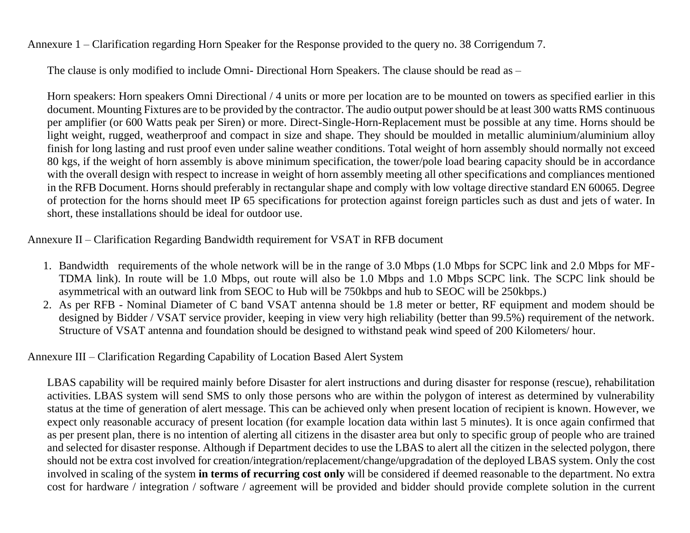Annexure 1 – Clarification regarding Horn Speaker for the Response provided to the query no. 38 Corrigendum 7.

The clause is only modified to include Omni- Directional Horn Speakers. The clause should be read as –

Horn speakers: Horn speakers Omni Directional / 4 units or more per location are to be mounted on towers as specified earlier in this document. Mounting Fixtures are to be provided by the contractor. The audio output power should be at least 300 watts RMS continuous per amplifier (or 600 Watts peak per Siren) or more. Direct-Single-Horn-Replacement must be possible at any time. Horns should be light weight, rugged, weatherproof and compact in size and shape. They should be moulded in metallic aluminium/aluminium alloy finish for long lasting and rust proof even under saline weather conditions. Total weight of horn assembly should normally not exceed 80 kgs, if the weight of horn assembly is above minimum specification, the tower/pole load bearing capacity should be in accordance with the overall design with respect to increase in weight of horn assembly meeting all other specifications and compliances mentioned in the RFB Document. Horns should preferably in rectangular shape and comply with low voltage directive standard EN 60065. Degree of protection for the horns should meet IP 65 specifications for protection against foreign particles such as dust and jets of water. In short, these installations should be ideal for outdoor use.

Annexure II – Clarification Regarding Bandwidth requirement for VSAT in RFB document

- 1. Bandwidth requirements of the whole network will be in the range of 3.0 Mbps (1.0 Mbps for SCPC link and 2.0 Mbps for MF-TDMA link). In route will be 1.0 Mbps, out route will also be 1.0 Mbps and 1.0 Mbps SCPC link. The SCPC link should be asymmetrical with an outward link from SEOC to Hub will be 750kbps and hub to SEOC will be 250kbps.)
- 2. As per RFB Nominal Diameter of C band VSAT antenna should be 1.8 meter or better, RF equipment and modem should be designed by Bidder / VSAT service provider, keeping in view very high reliability (better than 99.5%) requirement of the network. Structure of VSAT antenna and foundation should be designed to withstand peak wind speed of 200 Kilometers/ hour.

## Annexure III – Clarification Regarding Capability of Location Based Alert System

LBAS capability will be required mainly before Disaster for alert instructions and during disaster for response (rescue), rehabilitation activities. LBAS system will send SMS to only those persons who are within the polygon of interest as determined by vulnerability status at the time of generation of alert message. This can be achieved only when present location of recipient is known. However, we expect only reasonable accuracy of present location (for example location data within last 5 minutes). It is once again confirmed that as per present plan, there is no intention of alerting all citizens in the disaster area but only to specific group of people who are trained and selected for disaster response. Although if Department decides to use the LBAS to alert all the citizen in the selected polygon, there should not be extra cost involved for creation/integration/replacement/change/upgradation of the deployed LBAS system. Only the cost involved in scaling of the system **in terms of recurring cost only** will be considered if deemed reasonable to the department. No extra cost for hardware / integration / software / agreement will be provided and bidder should provide complete solution in the current